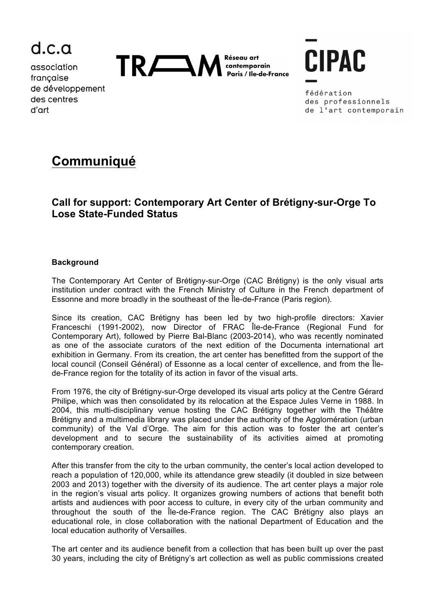

association francaise de développement des centres d'art



**CIPAC** 

fédération des professionnels de l'art contemporain

# **Communiqué**

## **Call for support: Contemporary Art Center of Brétigny-sur-Orge To Lose State-Funded Status**

### **Background**

The Contemporary Art Center of Brétigny-sur-Orge (CAC Brétigny) is the only visual arts institution under contract with the French Ministry of Culture in the French department of Essonne and more broadly in the southeast of the Île-de-France (Paris region).

Since its creation, CAC Brétigny has been led by two high-profile directors: Xavier Franceschi (1991-2002), now Director of FRAC Île-de-France (Regional Fund for Contemporary Art), followed by Pierre Bal-Blanc (2003-2014), who was recently nominated as one of the associate curators of the next edition of the Documenta international art exhibition in Germany. From its creation, the art center has benefitted from the support of the local council (Conseil Général) of Essonne as a local center of excellence, and from the Îlede-France region for the totality of its action in favor of the visual arts.

From 1976, the city of Brétigny-sur-Orge developed its visual arts policy at the Centre Gérard Philipe, which was then consolidated by its relocation at the Espace Jules Verne in 1988. In 2004, this multi-disciplinary venue hosting the CAC Brétigny together with the Théâtre Brétigny and a multimedia library was placed under the authority of the Agglomération (urban community) of the Val d'Orge. The aim for this action was to foster the art center's development and to secure the sustainability of its activities aimed at promoting contemporary creation.

After this transfer from the city to the urban community, the center's local action developed to reach a population of 120,000, while its attendance grew steadily (it doubled in size between 2003 and 2013) together with the diversity of its audience. The art center plays a major role in the region's visual arts policy. It organizes growing numbers of actions that benefit both artists and audiences with poor access to culture, in every city of the urban community and throughout the south of the Île-de-France region. The CAC Brétigny also plays an educational role, in close collaboration with the national Department of Education and the local education authority of Versailles.

The art center and its audience benefit from a collection that has been built up over the past 30 years, including the city of Brétigny's art collection as well as public commissions created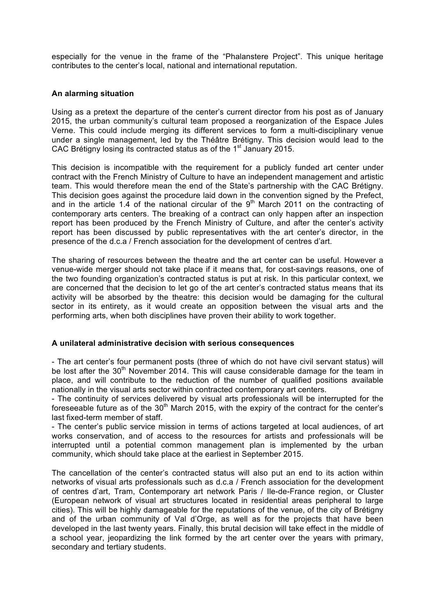especially for the venue in the frame of the "Phalanstere Project". This unique heritage contributes to the center's local, national and international reputation.

#### **An alarming situation**

Using as a pretext the departure of the center's current director from his post as of January 2015, the urban community's cultural team proposed a reorganization of the Espace Jules Verne. This could include merging its different services to form a multi-disciplinary venue under a single management, led by the Théâtre Brétigny. This decision would lead to the CAC Brétigny losing its contracted status as of the 1<sup>st</sup> January 2015.

This decision is incompatible with the requirement for a publicly funded art center under contract with the French Ministry of Culture to have an independent management and artistic team. This would therefore mean the end of the State's partnership with the CAC Brétigny. This decision goes against the procedure laid down in the convention signed by the Prefect, and in the article 1.4 of the national circular of the  $9<sup>th</sup>$  March 2011 on the contracting of contemporary arts centers. The breaking of a contract can only happen after an inspection report has been produced by the French Ministry of Culture, and after the center's activity report has been discussed by public representatives with the art center's director, in the presence of the d.c.a / French association for the development of centres d'art.

The sharing of resources between the theatre and the art center can be useful. However a venue-wide merger should not take place if it means that, for cost-savings reasons, one of the two founding organization's contracted status is put at risk. In this particular context, we are concerned that the decision to let go of the art center's contracted status means that its activity will be absorbed by the theatre: this decision would be damaging for the cultural sector in its entirety, as it would create an opposition between the visual arts and the performing arts, when both disciplines have proven their ability to work together.

#### **A unilateral administrative decision with serious consequences**

- The art center's four permanent posts (three of which do not have civil servant status) will be lost after the  $30<sup>th</sup>$  November 2014. This will cause considerable damage for the team in place, and will contribute to the reduction of the number of qualified positions available nationally in the visual arts sector within contracted contemporary art centers.

- The continuity of services delivered by visual arts professionals will be interrupted for the foreseeable future as of the  $30<sup>th</sup>$  March 2015, with the expiry of the contract for the center's last fixed-term member of staff.

- The center's public service mission in terms of actions targeted at local audiences, of art works conservation, and of access to the resources for artists and professionals will be interrupted until a potential common management plan is implemented by the urban community, which should take place at the earliest in September 2015.

The cancellation of the center's contracted status will also put an end to its action within networks of visual arts professionals such as d.c.a / French association for the development of centres d'art, Tram, Contemporary art network Paris / Ile-de-France region, or Cluster (European network of visual art structures located in residential areas peripheral to large cities). This will be highly damageable for the reputations of the venue, of the city of Brétigny and of the urban community of Val d'Orge, as well as for the projects that have been developed in the last twenty years. Finally, this brutal decision will take effect in the middle of a school year, jeopardizing the link formed by the art center over the years with primary, secondary and tertiary students.